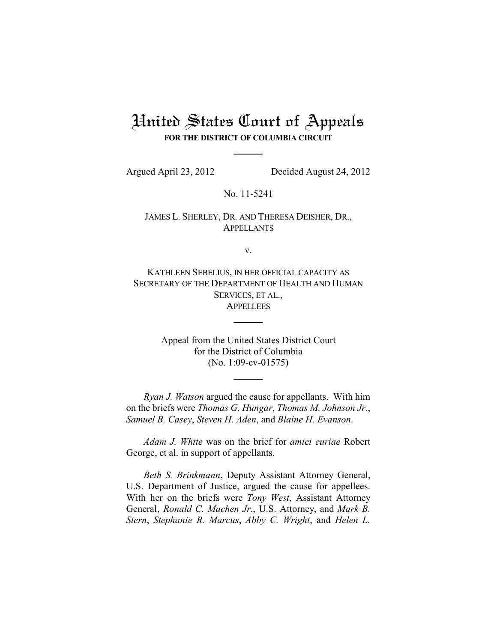# United States Court of Appeals **FOR THE DISTRICT OF COLUMBIA CIRCUIT**

Argued April 23, 2012 Decided August 24, 2012

No. 11-5241

JAMES L. SHERLEY, DR. AND THERESA DEISHER, DR., APPELLANTS

v.

KATHLEEN SEBELIUS, IN HER OFFICIAL CAPACITY AS SECRETARY OF THE DEPARTMENT OF HEALTH AND HUMAN SERVICES, ET AL., **APPELLEES** 

> Appeal from the United States District Court for the District of Columbia (No. 1:09-cv-01575)

*Ryan J. Watson* argued the cause for appellants. With him on the briefs were *Thomas G. Hungar*, *Thomas M. Johnson Jr.*, *Samuel B. Casey*, *Steven H. Aden*, and *Blaine H. Evanson*.

*Adam J. White* was on the brief for *amici curiae* Robert George, et al. in support of appellants.

*Beth S. Brinkmann*, Deputy Assistant Attorney General, U.S. Department of Justice, argued the cause for appellees. With her on the briefs were *Tony West*, Assistant Attorney General, *Ronald C. Machen Jr.*, U.S. Attorney, and *Mark B. Stern*, *Stephanie R. Marcus*, *Abby C. Wright*, and *Helen L.*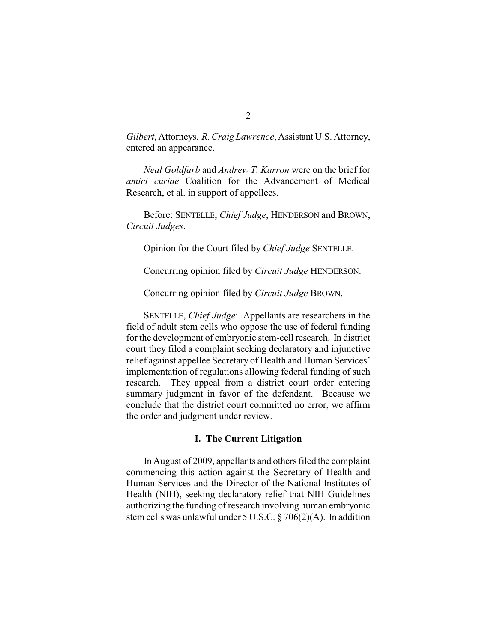*Gilbert*, Attorneys. *R. Craig Lawrence*, Assistant U.S. Attorney, entered an appearance.

*Neal Goldfarb* and *Andrew T. Karron* were on the brief for *amici curiae* Coalition for the Advancement of Medical Research, et al. in support of appellees.

Before: SENTELLE, *Chief Judge*, HENDERSON and BROWN, *Circuit Judges*.

Opinion for the Court filed by *Chief Judge* SENTELLE.

Concurring opinion filed by *Circuit Judge* HENDERSON.

Concurring opinion filed by *Circuit Judge* BROWN.

SENTELLE, *Chief Judge*: Appellants are researchers in the field of adult stem cells who oppose the use of federal funding for the development of embryonic stem-cell research. In district court they filed a complaint seeking declaratory and injunctive relief against appellee Secretary of Health and Human Services' implementation of regulations allowing federal funding of such research. They appeal from a district court order entering summary judgment in favor of the defendant. Because we conclude that the district court committed no error, we affirm the order and judgment under review.

#### **I. The Current Litigation**

In August of 2009, appellants and others filed the complaint commencing this action against the Secretary of Health and Human Services and the Director of the National Institutes of Health (NIH), seeking declaratory relief that NIH Guidelines authorizing the funding of research involving human embryonic stem cells was unlawful under 5 U.S.C. § 706(2)(A). In addition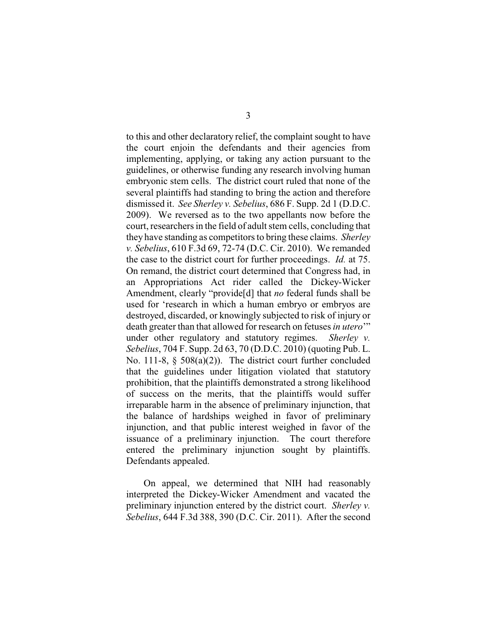to this and other declaratory relief, the complaint sought to have the court enjoin the defendants and their agencies from implementing, applying, or taking any action pursuant to the guidelines, or otherwise funding any research involving human embryonic stem cells. The district court ruled that none of the several plaintiffs had standing to bring the action and therefore dismissed it. *See Sherley v. Sebelius*, 686 F. Supp. 2d 1 (D.D.C. 2009). We reversed as to the two appellants now before the court, researchers in the field of adult stem cells, concluding that they have standing as competitors to bring these claims. *Sherley v. Sebelius*, 610 F.3d 69, 72-74 (D.C. Cir. 2010). We remanded the case to the district court for further proceedings. *Id.* at 75. On remand, the district court determined that Congress had, in an Appropriations Act rider called the Dickey-Wicker Amendment, clearly "provide[d] that *no* federal funds shall be used for 'research in which a human embryo or embryos are destroyed, discarded, or knowingly subjected to risk of injury or death greater than that allowed for research on fetuses *in utero*'" under other regulatory and statutory regimes. *Sherley v. Sebelius*, 704 F. Supp. 2d 63, 70 (D.D.C. 2010) (quoting Pub. L. No. 111-8, § 508(a)(2)). The district court further concluded that the guidelines under litigation violated that statutory prohibition, that the plaintiffs demonstrated a strong likelihood of success on the merits, that the plaintiffs would suffer irreparable harm in the absence of preliminary injunction, that the balance of hardships weighed in favor of preliminary injunction, and that public interest weighed in favor of the issuance of a preliminary injunction. The court therefore entered the preliminary injunction sought by plaintiffs. Defendants appealed.

On appeal, we determined that NIH had reasonably interpreted the Dickey-Wicker Amendment and vacated the preliminary injunction entered by the district court. *Sherley v. Sebelius*, 644 F.3d 388, 390 (D.C. Cir. 2011). After the second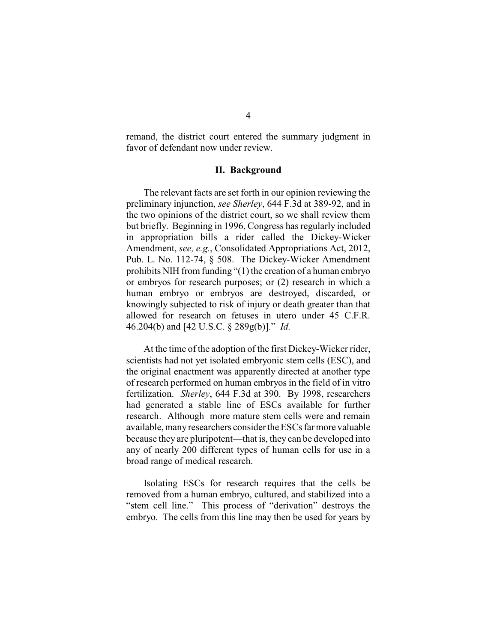remand, the district court entered the summary judgment in favor of defendant now under review.

# **II. Background**

The relevant facts are set forth in our opinion reviewing the preliminary injunction, *see Sherley*, 644 F.3d at 389-92, and in the two opinions of the district court, so we shall review them but briefly. Beginning in 1996, Congress has regularly included in appropriation bills a rider called the Dickey-Wicker Amendment, *see, e.g.*, Consolidated Appropriations Act, 2012, Pub. L. No. 112-74, § 508. The Dickey-Wicker Amendment prohibits NIH from funding  $\degree(1)$  the creation of a human embryo or embryos for research purposes; or (2) research in which a human embryo or embryos are destroyed, discarded, or knowingly subjected to risk of injury or death greater than that allowed for research on fetuses in utero under 45 C.F.R. 46.204(b) and [42 U.S.C. § 289g(b)]." *Id.*

At the time of the adoption of the first Dickey-Wicker rider, scientists had not yet isolated embryonic stem cells (ESC), and the original enactment was apparently directed at another type of research performed on human embryos in the field of in vitro fertilization. *Sherley*, 644 F.3d at 390. By 1998, researchers had generated a stable line of ESCs available for further research. Although more mature stem cells were and remain available, manyresearchers consider the ESCs farmore valuable because they are pluripotent—that is, they can be developed into any of nearly 200 different types of human cells for use in a broad range of medical research.

Isolating ESCs for research requires that the cells be removed from a human embryo, cultured, and stabilized into a "stem cell line." This process of "derivation" destroys the embryo. The cells from this line may then be used for years by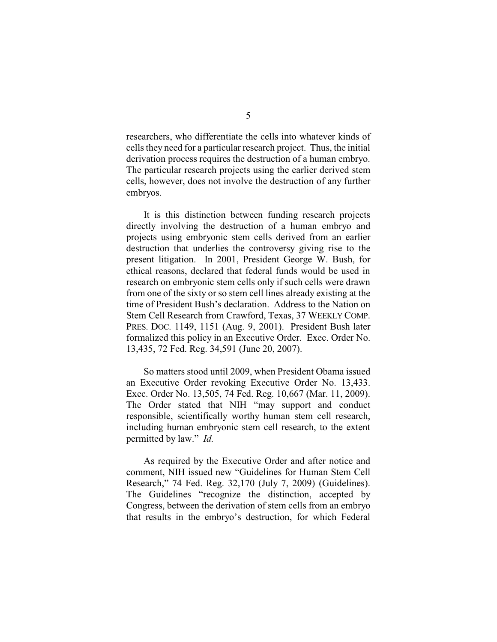researchers, who differentiate the cells into whatever kinds of cells they need for a particular research project. Thus, the initial derivation process requires the destruction of a human embryo. The particular research projects using the earlier derived stem cells, however, does not involve the destruction of any further embryos.

It is this distinction between funding research projects directly involving the destruction of a human embryo and projects using embryonic stem cells derived from an earlier destruction that underlies the controversy giving rise to the present litigation. In 2001, President George W. Bush, for ethical reasons, declared that federal funds would be used in research on embryonic stem cells only if such cells were drawn from one of the sixty or so stem cell lines already existing at the time of President Bush's declaration. Address to the Nation on Stem Cell Research from Crawford, Texas, 37 WEEKLY COMP. PRES. DOC. 1149, 1151 (Aug. 9, 2001). President Bush later formalized this policy in an Executive Order. Exec. Order No. 13,435, 72 Fed. Reg. 34,591 (June 20, 2007).

So matters stood until 2009, when President Obama issued an Executive Order revoking Executive Order No. 13,433. Exec. Order No. 13,505, 74 Fed. Reg. 10,667 (Mar. 11, 2009). The Order stated that NIH "may support and conduct responsible, scientifically worthy human stem cell research, including human embryonic stem cell research, to the extent permitted by law." *Id.*

As required by the Executive Order and after notice and comment, NIH issued new "Guidelines for Human Stem Cell Research," 74 Fed. Reg. 32,170 (July 7, 2009) (Guidelines). The Guidelines "recognize the distinction, accepted by Congress, between the derivation of stem cells from an embryo that results in the embryo's destruction, for which Federal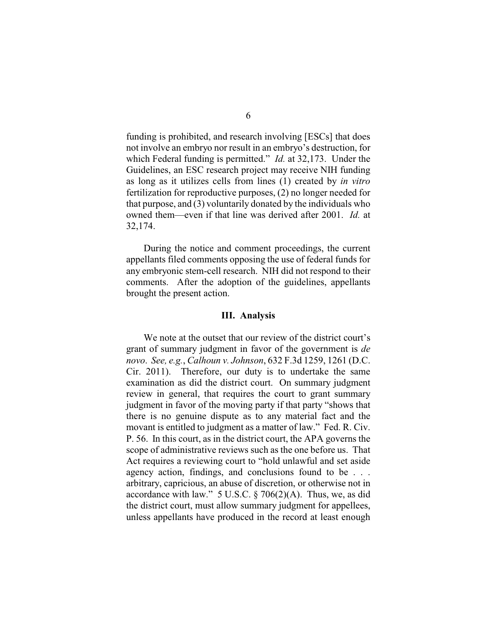funding is prohibited, and research involving [ESCs] that does not involve an embryo nor result in an embryo's destruction, for which Federal funding is permitted." *Id.* at 32,173. Under the Guidelines, an ESC research project may receive NIH funding as long as it utilizes cells from lines (1) created by *in vitro* fertilization for reproductive purposes, (2) no longer needed for that purpose, and (3) voluntarily donated by the individuals who owned them—even if that line was derived after 2001. *Id.* at 32,174.

During the notice and comment proceedings, the current appellants filed comments opposing the use of federal funds for any embryonic stem-cell research. NIH did not respond to their comments. After the adoption of the guidelines, appellants brought the present action.

#### **III. Analysis**

We note at the outset that our review of the district court's grant of summary judgment in favor of the government is *de novo*. *See, e.g.*, *Calhoun v. Johnson*, 632 F.3d 1259, 1261 (D.C. Cir. 2011). Therefore, our duty is to undertake the same examination as did the district court. On summary judgment review in general, that requires the court to grant summary judgment in favor of the moving party if that party "shows that there is no genuine dispute as to any material fact and the movant is entitled to judgment as a matter of law." Fed. R. Civ. P. 56. In this court, as in the district court, the APA governs the scope of administrative reviews such as the one before us. That Act requires a reviewing court to "hold unlawful and set aside agency action, findings, and conclusions found to be . . . arbitrary, capricious, an abuse of discretion, or otherwise not in accordance with law."  $5$  U.S.C. § 706(2)(A). Thus, we, as did the district court, must allow summary judgment for appellees, unless appellants have produced in the record at least enough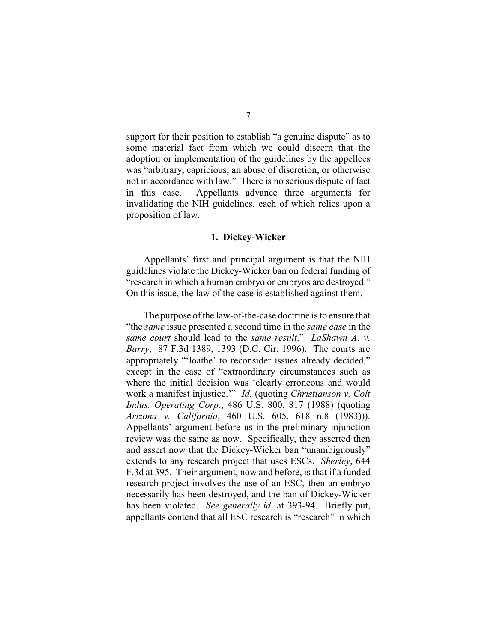support for their position to establish "a genuine dispute" as to some material fact from which we could discern that the adoption or implementation of the guidelines by the appellees was "arbitrary, capricious, an abuse of discretion, or otherwise not in accordance with law." There is no serious dispute of fact in this case. Appellants advance three arguments for invalidating the NIH guidelines, each of which relies upon a proposition of law.

### **1. Dickey-Wicker**

Appellants' first and principal argument is that the NIH guidelines violate the Dickey-Wicker ban on federal funding of "research in which a human embryo or embryos are destroyed." On this issue, the law of the case is established against them.

The purpose of the law-of-the-case doctrine is to ensure that "the *same* issue presented a second time in the *same case* in the *same court* should lead to the *same result*." *LaShawn A. v. Barry*, 87 F.3d 1389, 1393 (D.C. Cir. 1996). The courts are appropriately "'loathe' to reconsider issues already decided," except in the case of "extraordinary circumstances such as where the initial decision was 'clearly erroneous and would work a manifest injustice.'" *Id.* (quoting *Christianson v. Colt Indus. Operating Corp.*, 486 U.S. 800, 817 (1988) (quoting *Arizona v. California*, 460 U.S. 605, 618 n.8 (1983))). Appellants' argument before us in the preliminary-injunction review was the same as now. Specifically, they asserted then and assert now that the Dickey-Wicker ban "unambiguously" extends to any research project that uses ESCs. *Sherley*, 644 F.3d at 395. Their argument, now and before, is that if a funded research project involves the use of an ESC, then an embryo necessarily has been destroyed, and the ban of Dickey-Wicker has been violated. *See generally id.* at 393-94. Briefly put, appellants contend that all ESC research is "research" in which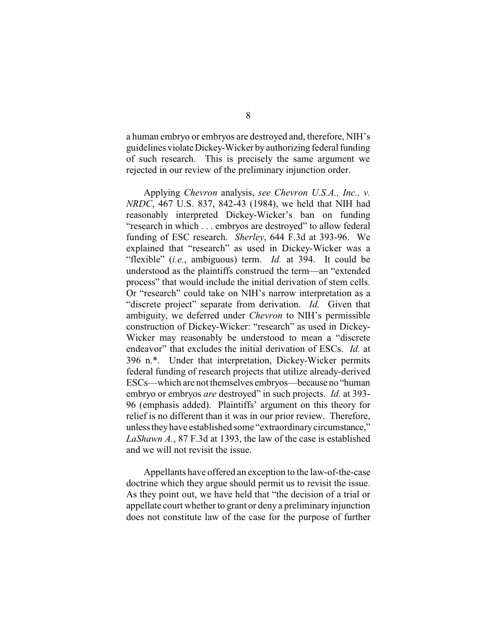a human embryo or embryos are destroyed and, therefore, NIH's guidelines violateDickey-Wicker byauthorizing federal funding of such research. This is precisely the same argument we rejected in our review of the preliminary injunction order.

Applying *Chevron* analysis, *see Chevron U.S.A., Inc., v. NRDC*, 467 U.S. 837, 842-43 (1984), we held that NIH had reasonably interpreted Dickey-Wicker's ban on funding "research in which . . . embryos are destroyed" to allow federal funding of ESC research. *Sherley*, 644 F.3d at 393-96. We explained that "research" as used in Dickey-Wicker was a "flexible" (*i.e.*, ambiguous) term. *Id.* at 394. It could be understood as the plaintiffs construed the term—an "extended process" that would include the initial derivation of stem cells. Or "research" could take on NIH's narrow interpretation as a "discrete project" separate from derivation. *Id.* Given that ambiguity, we deferred under *Chevron* to NIH's permissible construction of Dickey-Wicker: "research" as used in Dickey-Wicker may reasonably be understood to mean a "discrete endeavor" that excludes the initial derivation of ESCs. *Id.* at 396 n.\*. Under that interpretation, Dickey-Wicker permits federal funding of research projects that utilize already-derived ESCs—which are not themselves embryos—because no "human embryo or embryos *are* destroyed" in such projects. *Id.* at 393- 96 (emphasis added). Plaintiffs' argument on this theory for relief is no different than it was in our prior review. Therefore, unless they have established some "extraordinary circumstance," *LaShawn A.*, 87 F.3d at 1393, the law of the case is established and we will not revisit the issue.

Appellants have offered an exception to the law-of-the-case doctrine which they argue should permit us to revisit the issue. As they point out, we have held that "the decision of a trial or appellate court whether to grant or deny a preliminary injunction does not constitute law of the case for the purpose of further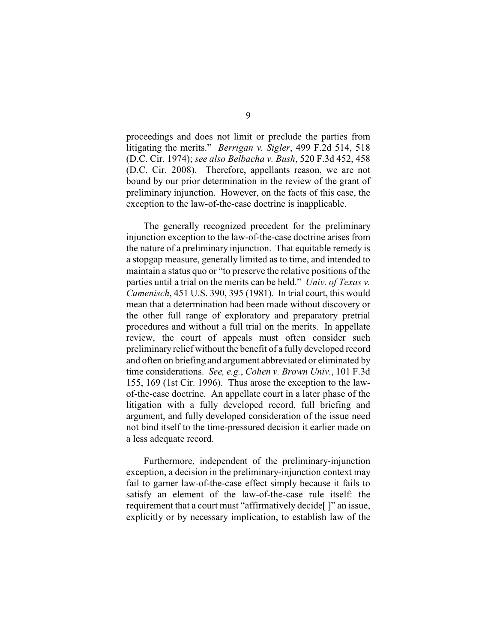proceedings and does not limit or preclude the parties from litigating the merits." *Berrigan v. Sigler*, 499 F.2d 514, 518 (D.C. Cir. 1974); *see also Belbacha v. Bush*, 520 F.3d 452, 458 (D.C. Cir. 2008). Therefore, appellants reason, we are not bound by our prior determination in the review of the grant of preliminary injunction. However, on the facts of this case, the exception to the law-of-the-case doctrine is inapplicable.

The generally recognized precedent for the preliminary injunction exception to the law-of-the-case doctrine arises from the nature of a preliminary injunction. That equitable remedy is a stopgap measure, generally limited as to time, and intended to maintain a status quo or "to preserve the relative positions of the parties until a trial on the merits can be held." *Univ. of Texas v. Camenisch*, 451 U.S. 390, 395 (1981). In trial court, this would mean that a determination had been made without discovery or the other full range of exploratory and preparatory pretrial procedures and without a full trial on the merits. In appellate review, the court of appeals must often consider such preliminary relief without the benefit of a fully developed record and often on briefing and argument abbreviated or eliminated by time considerations. *See, e.g.*, *Cohen v. Brown Univ.*, 101 F.3d 155, 169 (1st Cir. 1996). Thus arose the exception to the lawof-the-case doctrine. An appellate court in a later phase of the litigation with a fully developed record, full briefing and argument, and fully developed consideration of the issue need not bind itself to the time-pressured decision it earlier made on a less adequate record.

Furthermore, independent of the preliminary-injunction exception, a decision in the preliminary-injunction context may fail to garner law-of-the-case effect simply because it fails to satisfy an element of the law-of-the-case rule itself: the requirement that a court must "affirmatively decide[ ]" an issue, explicitly or by necessary implication, to establish law of the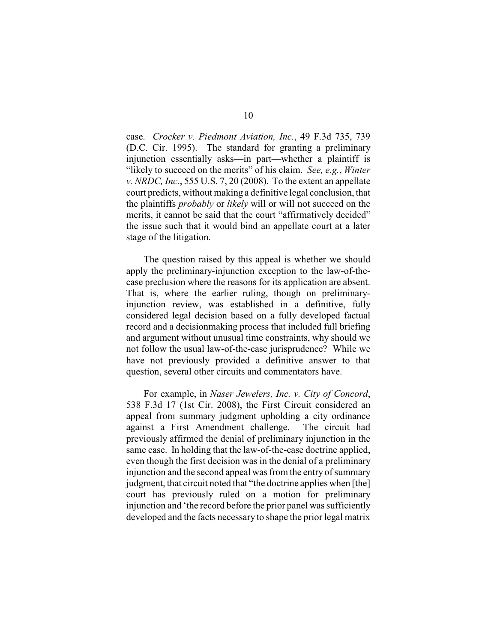case. *Crocker v. Piedmont Aviation, Inc.*, 49 F.3d 735, 739 (D.C. Cir. 1995). The standard for granting a preliminary injunction essentially asks—in part—whether a plaintiff is "likely to succeed on the merits" of his claim. *See, e.g.*, *Winter v. NRDC, Inc.*, 555 U.S. 7, 20 (2008). To the extent an appellate court predicts, without making a definitive legal conclusion, that the plaintiffs *probably* or *likely* will or will not succeed on the merits, it cannot be said that the court "affirmatively decided" the issue such that it would bind an appellate court at a later stage of the litigation.

The question raised by this appeal is whether we should apply the preliminary-injunction exception to the law-of-thecase preclusion where the reasons for its application are absent. That is, where the earlier ruling, though on preliminaryinjunction review, was established in a definitive, fully considered legal decision based on a fully developed factual record and a decisionmaking process that included full briefing and argument without unusual time constraints, why should we not follow the usual law-of-the-case jurisprudence? While we have not previously provided a definitive answer to that question, several other circuits and commentators have.

For example, in *Naser Jewelers, Inc. v. City of Concord*, 538 F.3d 17 (1st Cir. 2008), the First Circuit considered an appeal from summary judgment upholding a city ordinance against a First Amendment challenge. The circuit had previously affirmed the denial of preliminary injunction in the same case. In holding that the law-of-the-case doctrine applied, even though the first decision was in the denial of a preliminary injunction and the second appeal was from the entry of summary judgment, that circuit noted that "the doctrine applies when [the] court has previously ruled on a motion for preliminary injunction and 'the record before the prior panel was sufficiently developed and the facts necessary to shape the prior legal matrix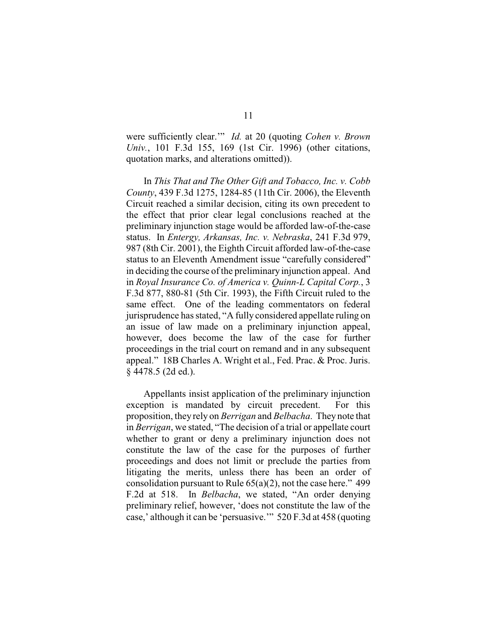were sufficiently clear.'" *Id.* at 20 (quoting *Cohen v. Brown Univ.*, 101 F.3d 155, 169 (1st Cir. 1996) (other citations, quotation marks, and alterations omitted)).

In *This That and The Other Gift and Tobacco, Inc. v. Cobb County*, 439 F.3d 1275, 1284-85 (11th Cir. 2006), the Eleventh Circuit reached a similar decision, citing its own precedent to the effect that prior clear legal conclusions reached at the preliminary injunction stage would be afforded law-of-the-case status. In *Entergy, Arkansas, Inc. v. Nebraska*, 241 F.3d 979, 987 (8th Cir. 2001), the Eighth Circuit afforded law-of-the-case status to an Eleventh Amendment issue "carefully considered" in deciding the course of the preliminary injunction appeal. And in *Royal Insurance Co. of America v. Quinn-L Capital Corp.*, 3 F.3d 877, 880-81 (5th Cir. 1993), the Fifth Circuit ruled to the same effect. One of the leading commentators on federal jurisprudence has stated, "A fully considered appellate ruling on an issue of law made on a preliminary injunction appeal, however, does become the law of the case for further proceedings in the trial court on remand and in any subsequent appeal." 18B Charles A. Wright et al., Fed. Prac. & Proc. Juris. § 4478.5 (2d ed.).

Appellants insist application of the preliminary injunction exception is mandated by circuit precedent. For this proposition, they rely on *Berrigan* and *Belbacha*. They note that in *Berrigan*, we stated, "The decision of a trial or appellate court whether to grant or deny a preliminary injunction does not constitute the law of the case for the purposes of further proceedings and does not limit or preclude the parties from litigating the merits, unless there has been an order of consolidation pursuant to Rule  $65(a)(2)$ , not the case here." 499 F.2d at 518. In *Belbacha*, we stated, "An order denying preliminary relief, however, 'does not constitute the law of the case,' although it can be 'persuasive.'" 520 F.3d at 458 (quoting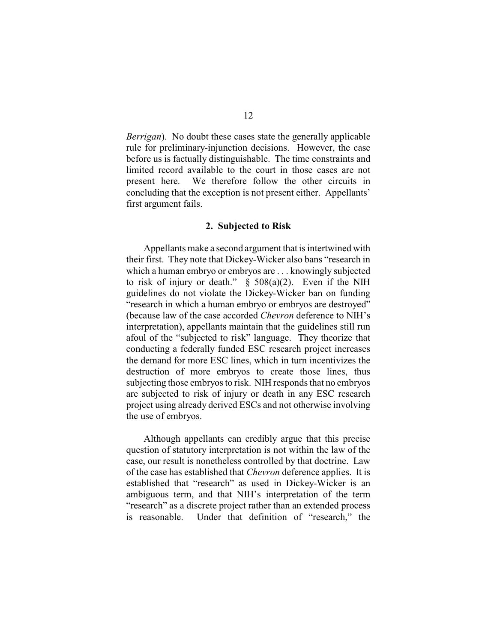*Berrigan*). No doubt these cases state the generally applicable rule for preliminary-injunction decisions. However, the case before us is factually distinguishable. The time constraints and limited record available to the court in those cases are not present here. We therefore follow the other circuits in concluding that the exception is not present either. Appellants' first argument fails.

#### **2. Subjected to Risk**

Appellants make a second argument that is intertwined with their first. They note that Dickey-Wicker also bans "research in which a human embryo or embryos are . . . knowingly subjected to risk of injury or death."  $\S$  508(a)(2). Even if the NIH guidelines do not violate the Dickey-Wicker ban on funding "research in which a human embryo or embryos are destroyed" (because law of the case accorded *Chevron* deference to NIH's interpretation), appellants maintain that the guidelines still run afoul of the "subjected to risk" language. They theorize that conducting a federally funded ESC research project increases the demand for more ESC lines, which in turn incentivizes the destruction of more embryos to create those lines, thus subjecting those embryos to risk. NIH responds that no embryos are subjected to risk of injury or death in any ESC research project using already derived ESCs and not otherwise involving the use of embryos.

Although appellants can credibly argue that this precise question of statutory interpretation is not within the law of the case, our result is nonetheless controlled by that doctrine. Law of the case has established that *Chevron* deference applies. It is established that "research" as used in Dickey-Wicker is an ambiguous term, and that NIH's interpretation of the term "research" as a discrete project rather than an extended process is reasonable. Under that definition of "research," the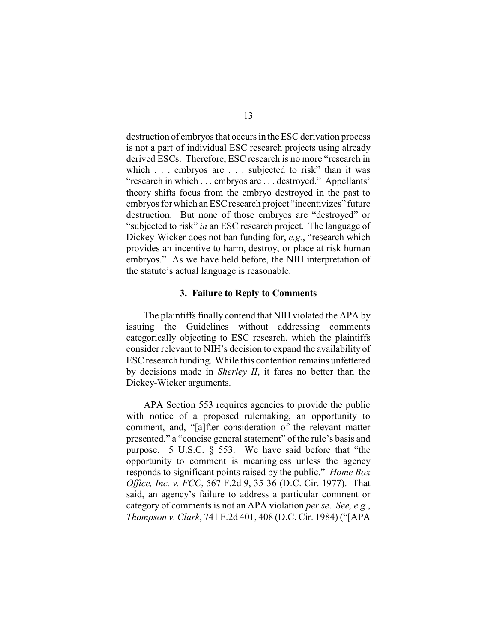destruction of embryos that occurs in the ESC derivation process is not a part of individual ESC research projects using already derived ESCs. Therefore, ESC research is no more "research in which . . . embryos are . . . subjected to risk" than it was "research in which . . . embryos are . . . destroyed." Appellants' theory shifts focus from the embryo destroyed in the past to embryos for which an ESC research project "incentivizes" future destruction. But none of those embryos are "destroyed" or "subjected to risk" *in* an ESC research project. The language of Dickey-Wicker does not ban funding for, *e.g.*, "research which provides an incentive to harm, destroy, or place at risk human embryos." As we have held before, the NIH interpretation of the statute's actual language is reasonable.

#### **3. Failure to Reply to Comments**

The plaintiffs finally contend that NIH violated the APA by issuing the Guidelines without addressing comments categorically objecting to ESC research, which the plaintiffs consider relevant to NIH's decision to expand the availability of ESC research funding. While this contention remains unfettered by decisions made in *Sherley II*, it fares no better than the Dickey-Wicker arguments.

APA Section 553 requires agencies to provide the public with notice of a proposed rulemaking, an opportunity to comment, and, "[a]fter consideration of the relevant matter presented," a "concise general statement" of the rule's basis and purpose. 5 U.S.C. § 553. We have said before that "the opportunity to comment is meaningless unless the agency responds to significant points raised by the public." *Home Box Office, Inc. v. FCC*, 567 F.2d 9, 35-36 (D.C. Cir. 1977). That said, an agency's failure to address a particular comment or category of comments is not an APA violation *per se*. *See, e.g.*, *Thompson v. Clark*, 741 F.2d 401, 408 (D.C. Cir. 1984) ("[APA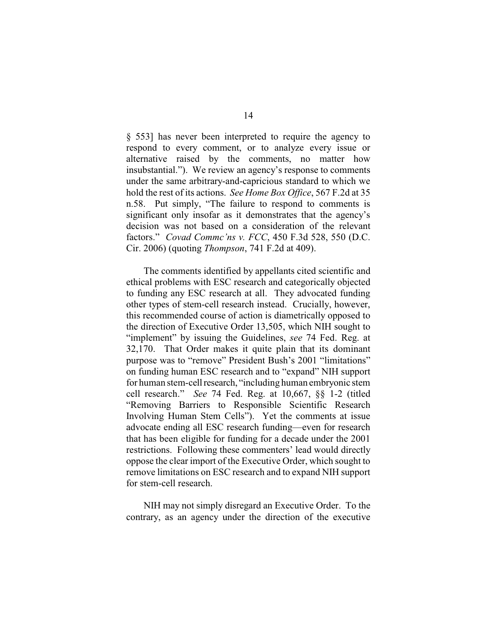§ 553] has never been interpreted to require the agency to respond to every comment, or to analyze every issue or alternative raised by the comments, no matter how insubstantial."). We review an agency's response to comments under the same arbitrary-and-capricious standard to which we hold the rest of its actions. *See Home Box Office*, 567 F.2d at 35 n.58. Put simply, "The failure to respond to comments is significant only insofar as it demonstrates that the agency's decision was not based on a consideration of the relevant factors." *Covad Commc'ns v. FCC*, 450 F.3d 528, 550 (D.C. Cir. 2006) (quoting *Thompson*, 741 F.2d at 409).

The comments identified by appellants cited scientific and ethical problems with ESC research and categorically objected to funding any ESC research at all. They advocated funding other types of stem-cell research instead. Crucially, however, this recommended course of action is diametrically opposed to the direction of Executive Order 13,505, which NIH sought to "implement" by issuing the Guidelines, *see* 74 Fed. Reg. at 32,170. That Order makes it quite plain that its dominant purpose was to "remove" President Bush's 2001 "limitations" on funding human ESC research and to "expand" NIH support for human stem-cell research, "including human embryonic stemcell research." *See* 74 Fed. Reg. at 10,667, §§ 1-2 (titled "Removing Barriers to Responsible Scientific Research Involving Human Stem Cells"). Yet the comments at issue advocate ending all ESC research funding—even for research that has been eligible for funding for a decade under the 2001 restrictions. Following these commenters' lead would directly oppose the clear import of the Executive Order, which sought to remove limitations on ESC research and to expand NIH support for stem-cell research.

NIH may not simply disregard an Executive Order. To the contrary, as an agency under the direction of the executive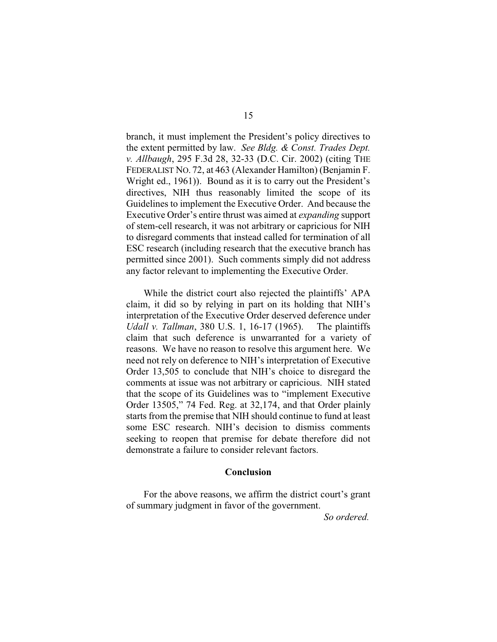branch, it must implement the President's policy directives to the extent permitted by law. *See Bldg. & Const. Trades Dept. v. Allbaugh*, 295 F.3d 28, 32-33 (D.C. Cir. 2002) (citing THE FEDERALIST NO. 72, at 463 (Alexander Hamilton) (Benjamin F. Wright ed., 1961)). Bound as it is to carry out the President's directives, NIH thus reasonably limited the scope of its Guidelines to implement the Executive Order. And because the Executive Order's entire thrust was aimed at *expanding* support of stem-cell research, it was not arbitrary or capricious for NIH to disregard comments that instead called for termination of all ESC research (including research that the executive branch has permitted since 2001). Such comments simply did not address any factor relevant to implementing the Executive Order.

While the district court also rejected the plaintiffs' APA claim, it did so by relying in part on its holding that NIH's interpretation of the Executive Order deserved deference under *Udall v. Tallman*, 380 U.S. 1, 16-17 (1965). The plaintiffs claim that such deference is unwarranted for a variety of reasons. We have no reason to resolve this argument here. We need not rely on deference to NIH's interpretation of Executive Order 13,505 to conclude that NIH's choice to disregard the comments at issue was not arbitrary or capricious. NIH stated that the scope of its Guidelines was to "implement Executive Order 13505," 74 Fed. Reg. at 32,174, and that Order plainly starts from the premise that NIH should continue to fund at least some ESC research. NIH's decision to dismiss comments seeking to reopen that premise for debate therefore did not demonstrate a failure to consider relevant factors.

# **Conclusion**

For the above reasons, we affirm the district court's grant of summary judgment in favor of the government.

*So ordered.*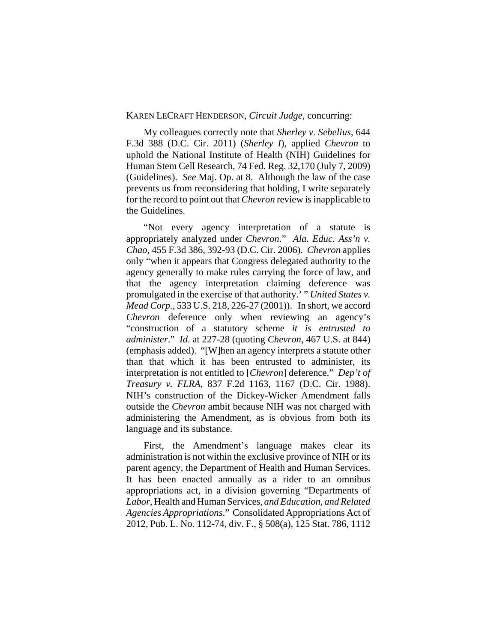# KAREN LECRAFT HENDERSON, *Circuit Judge*, concurring:

My colleagues correctly note that *Sherley v. Sebelius*, 644 F.3d 388 (D.C. Cir. 2011) (*Sherley I*), applied *Chevron* to uphold the National Institute of Health (NIH) Guidelines for Human Stem Cell Research, 74 Fed. Reg. 32,170 (July 7, 2009) (Guidelines). *See* Maj. Op. at 8. Although the law of the case prevents us from reconsidering that holding, I write separately for the record to point out that *Chevron* review is inapplicable to the Guidelines.

"Not every agency interpretation of a statute is appropriately analyzed under *Chevron*." *Ala. Educ. Ass'n v. Chao*, 455 F.3d 386, 392-93 (D.C. Cir. 2006). *Chevron* applies only "when it appears that Congress delegated authority to the agency generally to make rules carrying the force of law, and that the agency interpretation claiming deference was promulgated in the exercise of that authority.' " *United States v. Mead Corp.*, 533 U.S. 218, 226-27 (2001)). In short, we accord *Chevron* deference only when reviewing an agency's "construction of a statutory scheme *it is entrusted to administer*." *Id*. at 227-28 (quoting *Chevron,* 467 U.S. at 844) (emphasis added). "[W]hen an agency interprets a statute other than that which it has been entrusted to administer, its interpretation is not entitled to [*Chevron*] deference." *Dep't of Treasury v. FLRA*, 837 F.2d 1163, 1167 (D.C. Cir. 1988). NIH's construction of the Dickey-Wicker Amendment falls outside the *Chevron* ambit because NIH was not charged with administering the Amendment, as is obvious from both its language and its substance.

First, the Amendment's language makes clear its administration is not within the exclusive province of NIH or its parent agency, the Department of Health and Human Services. It has been enacted annually as a rider to an omnibus appropriations act, in a division governing "Departments of *Labor*, Health and Human Services, *and Education, and Related Agencies Appropriations*." Consolidated Appropriations Act of 2012, Pub. L. No. 112-74, div. F., § 508(a), 125 Stat. 786, 1112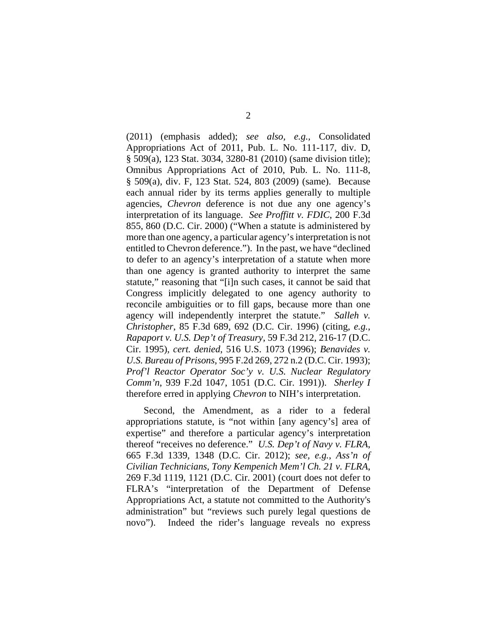(2011) (emphasis added); *see also, e.g.,* Consolidated Appropriations Act of 2011, Pub. L. No. 111-117, div. D, § 509(a), 123 Stat. 3034, 3280-81 (2010) (same division title); Omnibus Appropriations Act of 2010, Pub. L. No. 111-8, § 509(a), div. F, 123 Stat. 524, 803 (2009) (same). Because each annual rider by its terms applies generally to multiple agencies, *Chevron* deference is not due any one agency's interpretation of its language. *See Proffitt v. FDIC*, 200 F.3d 855, 860 (D.C. Cir. 2000) ("When a statute is administered by more than one agency, a particular agency's interpretation is not entitled to Chevron deference."). In the past, we have "declined to defer to an agency's interpretation of a statute when more than one agency is granted authority to interpret the same statute," reasoning that "[i]n such cases, it cannot be said that Congress implicitly delegated to one agency authority to reconcile ambiguities or to fill gaps, because more than one agency will independently interpret the statute." *Salleh v. Christopher*, 85 F.3d 689, 692 (D.C. Cir. 1996) (citing, *e.g.*, *Rapaport v. U.S. Dep't of Treasury*, 59 F.3d 212, 216-17 (D.C. Cir. 1995), *cert. denied*, 516 U.S. 1073 (1996); *Benavides v. U.S. Bureau of Prisons*, 995 F.2d 269, 272 n.2 (D.C. Cir. 1993); *Prof'l Reactor Operator Soc'y v. U.S. Nuclear Regulatory Comm'n*, 939 F.2d 1047, 1051 (D.C. Cir. 1991)). *Sherley I* therefore erred in applying *Chevron* to NIH's interpretation.

Second, the Amendment, as a rider to a federal appropriations statute, is "not within [any agency's] area of expertise" and therefore a particular agency's interpretation thereof "receives no deference." *U.S. Dep't of Navy v. FLRA*, 665 F.3d 1339, 1348 (D.C. Cir. 2012); *see, e.g.*, *Ass'n of Civilian Technicians, Tony Kempenich Mem'l Ch. 21 v. FLRA*, 269 F.3d 1119, 1121 (D.C. Cir. 2001) (court does not defer to FLRA's "interpretation of the Department of Defense Appropriations Act, a statute not committed to the Authority's administration" but "reviews such purely legal questions de novo"). Indeed the rider's language reveals no express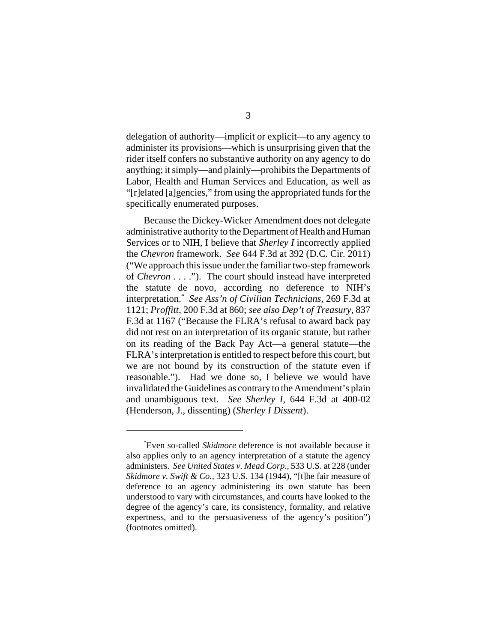delegation of authority—implicit or explicit—to any agency to administer its provisions—which is unsurprising given that the rider itself confers no substantive authority on any agency to do anything; it simply—and plainly—prohibits the Departments of Labor, Health and Human Services and Education, as well as "[r]elated [a]gencies," from using the appropriated funds for the specifically enumerated purposes.

Because the Dickey-Wicker Amendment does not delegate administrative authority to the Department of Health and Human Services or to NIH, I believe that *Sherley I* incorrectly applied the *Chevron* framework. *See* 644 F.3d at 392 (D.C. Cir. 2011) ("We approach this issue under the familiar two-step framework of *Chevron* . . . ."). The court should instead have interpreted the statute de novo, according no deference to NIH's interpretation.\* *See Ass'n of Civilian Technicians*, 269 F.3d at 1121; *Proffitt*, 200 F.3d at 860; *see also Dep't of Treasury*, 837 F.3d at 1167 ("Because the FLRA's refusal to award back pay did not rest on an interpretation of its organic statute, but rather on its reading of the Back Pay Act—a general statute—the FLRA's interpretation is entitled to respect before this court, but we are not bound by its construction of the statute even if reasonable."). Had we done so, I believe we would have invalidated the Guidelines as contrary to the Amendment's plain and unambiguous text. *See Sherley I*, 644 F.3d at 400-02 (Henderson, J., dissenting) (*Sherley I Dissent*).

<sup>\*</sup> Even so-called *Skidmore* deference is not available because it also applies only to an agency interpretation of a statute the agency administers. *See United States v. Mead Corp.*, 533 U.S. at 228 (under *Skidmore v. Swift & Co.*, 323 U.S. 134 (1944), "[t]he fair measure of deference to an agency administering its own statute has been understood to vary with circumstances, and courts have looked to the degree of the agency's care, its consistency, formality, and relative expertness, and to the persuasiveness of the agency's position") (footnotes omitted).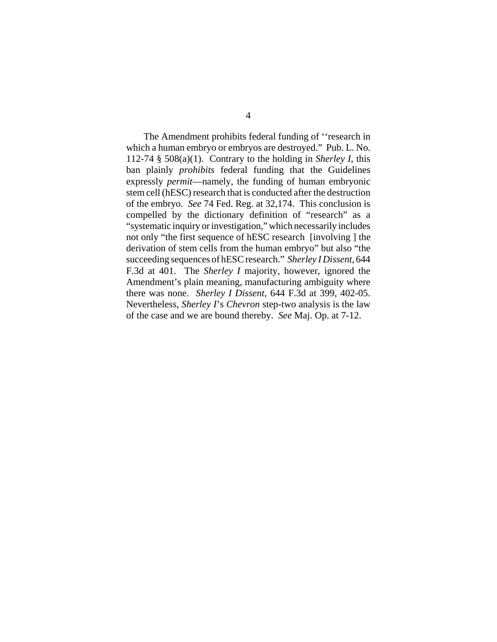The Amendment prohibits federal funding of ''research in which a human embryo or embryos are destroyed." Pub. L. No. 112-74 § 508(a)(1). Contrary to the holding in *Sherley I*, this ban plainly *prohibits* federal funding that the Guidelines expressly *permit*—namely, the funding of human embryonic stem cell (hESC) research that is conducted after the destruction of the embryo. *See* 74 Fed. Reg. at 32,174. This conclusion is compelled by the dictionary definition of "research" as a "systematic inquiry or investigation," which necessarily includes not only "the first sequence of hESC research [involving ] the derivation of stem cells from the human embryo" but also "the succeeding sequences of hESC research." *Sherley I Dissent*, 644 F.3d at 401. The *Sherley I* majority, however, ignored the Amendment's plain meaning, manufacturing ambiguity where there was none. *Sherley I Dissent*, 644 F.3d at 399, 402-05. Nevertheless, *Sherley I*'s *Chevron* step-two analysis is the law of the case and we are bound thereby. *See* Maj. Op. at 7-12.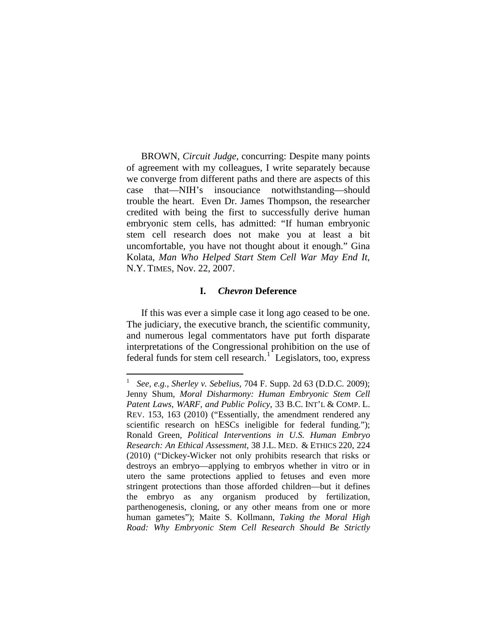BROWN, *Circuit Judge*, concurring: Despite many points of agreement with my colleagues, I write separately because we converge from different paths and there are aspects of this case that—NIH's insouciance notwithstanding—should trouble the heart. Even Dr. James Thompson, the researcher credited with being the first to successfully derive human embryonic stem cells, has admitted: "If human embryonic stem cell research does not make you at least a bit uncomfortable, you have not thought about it enough." Gina Kolata, *Man Who Helped Start Stem Cell War May End It*, N.Y. TIMES, Nov. 22, 2007.

# **I.** *Chevron* **Deference**

If this was ever a simple case it long ago ceased to be one. The judiciary, the executive branch, the scientific community, and numerous legal commentators have put forth disparate interpretations of the Congressional prohibition on the use of federal funds for stem cell research.<sup>[1](#page-19-0)</sup> Legislators, too, express

<span id="page-19-0"></span> $\frac{1}{1}$  *See, e.g.*, *Sherley v. Sebelius*, 704 F. Supp. 2d 63 (D.D.C. 2009); Jenny Shum, *Moral Disharmony: Human Embryonic Stem Cell Patent Laws, WARF, and Public Policy*, 33 B.C. INT'L & COMP. L. REV. 153, 163 (2010) ("Essentially, the amendment rendered any scientific research on hESCs ineligible for federal funding."); Ronald Green, *Political Interventions in U.S. Human Embryo Research: An Ethical Assessment*, 38 J.L. MED. & ETHICS 220, 224 (2010) ("Dickey-Wicker not only prohibits research that risks or destroys an embryo—applying to embryos whether in vitro or in utero the same protections applied to fetuses and even more stringent protections than those afforded children—but it defines the embryo as any organism produced by fertilization, parthenogenesis, cloning, or any other means from one or more human gametes"); Maite S. Kollmann, *Taking the Moral High Road: Why Embryonic Stem Cell Research Should Be Strictly*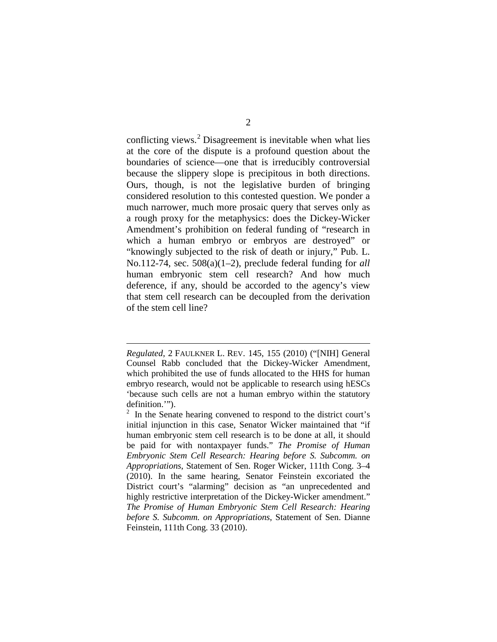conflicting views.<sup>[2](#page-20-0)</sup> Disagreement is inevitable when what lies at the core of the dispute is a profound question about the boundaries of science—one that is irreducibly controversial because the slippery slope is precipitous in both directions. Ours, though, is not the legislative burden of bringing considered resolution to this contested question. We ponder a much narrower, much more prosaic query that serves only as a rough proxy for the metaphysics: does the Dickey-Wicker Amendment's prohibition on federal funding of "research in which a human embryo or embryos are destroyed" or "knowingly subjected to the risk of death or injury," Pub. L. No.112-74, sec. 508(a)(1–2), preclude federal funding for *all*  human embryonic stem cell research? And how much deference, if any, should be accorded to the agency's view that stem cell research can be decoupled from the derivation of the stem cell line?

 $\overline{a}$ 

*Regulated*, 2 FAULKNER L. REV. 145, 155 (2010) ("[NIH] General Counsel Rabb concluded that the Dickey-Wicker Amendment, which prohibited the use of funds allocated to the HHS for human embryo research, would not be applicable to research using hESCs 'because such cells are not a human embryo within the statutory definition.'").

<span id="page-20-0"></span><sup>2</sup> In the Senate hearing convened to respond to the district court's initial injunction in this case, Senator Wicker maintained that "if human embryonic stem cell research is to be done at all, it should be paid for with nontaxpayer funds." *The Promise of Human Embryonic Stem Cell Research: Hearing before S. Subcomm. on Appropriations*, Statement of Sen. Roger Wicker, 111th Cong. 3–4 (2010). In the same hearing, Senator Feinstein excoriated the District court's "alarming" decision as "an unprecedented and highly restrictive interpretation of the Dickey-Wicker amendment." *The Promise of Human Embryonic Stem Cell Research: Hearing before S. Subcomm. on Appropriations*, Statement of Sen. Dianne Feinstein, 111th Cong. 33 (2010).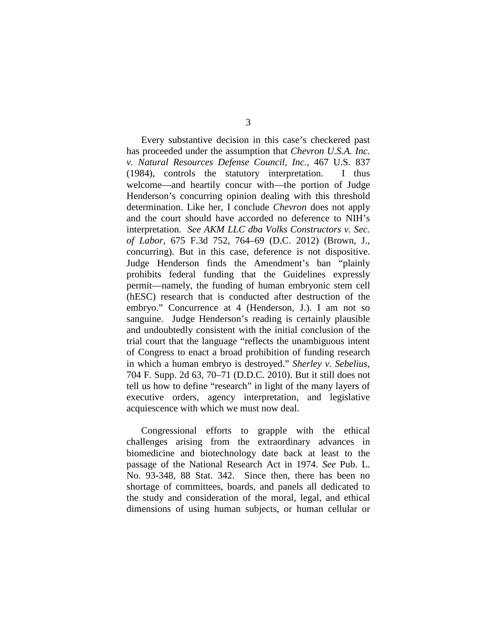Every substantive decision in this case's checkered past has proceeded under the assumption that *Chevron U.S.A. Inc. v. Natural Resources Defense Council, Inc.*, 467 U.S. 837 (1984), controls the statutory interpretation. I thus welcome—and heartily concur with—the portion of Judge Henderson's concurring opinion dealing with this threshold determination. Like her, I conclude *Chevron* does not apply and the court should have accorded no deference to NIH's interpretation. *See AKM LLC dba Volks Constructors v. Sec. of Labor,* 675 F.3d 752, 764–69 (D.C. 2012) (Brown, J., concurring). But in this case, deference is not dispositive. Judge Henderson finds the Amendment's ban "plainly prohibits federal funding that the Guidelines expressly permit—namely, the funding of human embryonic stem cell (hESC) research that is conducted after destruction of the embryo." Concurrence at 4 (Henderson, J.). I am not so sanguine. Judge Henderson's reading is certainly plausible and undoubtedly consistent with the initial conclusion of the trial court that the language "reflects the unambiguous intent of Congress to enact a broad prohibition of funding research in which a human embryo is destroyed." *Sherley v. Sebelius*, 704 F. Supp. 2d 63, 70–71 (D.D.C. 2010). But it still does not tell us how to define "research" in light of the many layers of executive orders, agency interpretation, and legislative acquiescence with which we must now deal.

Congressional efforts to grapple with the ethical challenges arising from the extraordinary advances in biomedicine and biotechnology date back at least to the passage of the National Research Act in 1974. *See* Pub. L. No. 93-348, 88 Stat. 342. Since then, there has been no shortage of committees, boards, and panels all dedicated to the study and consideration of the moral, legal, and ethical dimensions of using human subjects, or human cellular or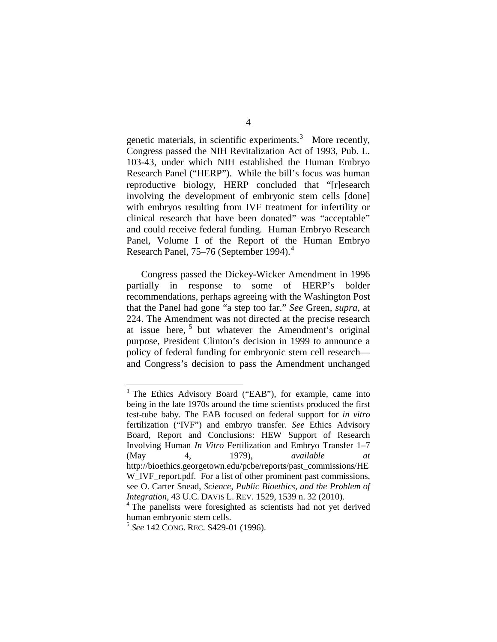genetic materials, in scientific experiments.<sup>[3](#page-22-0)</sup> More recently, Congress passed the NIH Revitalization Act of 1993, Pub. L. 103-43, under which NIH established the Human Embryo Research Panel ("HERP"). While the bill's focus was human reproductive biology, HERP concluded that "[r]esearch involving the development of embryonic stem cells [done] with embryos resulting from IVF treatment for infertility or clinical research that have been donated" was "acceptable" and could receive federal funding. Human Embryo Research Panel, Volume I of the Report of the Human Embryo Research Panel, 75–76 (September 199[4](#page-22-1)).<sup>4</sup>

Congress passed the Dickey-Wicker Amendment in 1996 partially in response to some of HERP's bolder recommendations, perhaps agreeing with the Washington Post that the Panel had gone "a step too far." *See* Green, *supra*, at 224. The Amendment was not directed at the precise research at issue here, <sup>[5](#page-22-2)</sup> but whatever the Amendment's original purpose, President Clinton's decision in 1999 to announce a policy of federal funding for embryonic stem cell research and Congress's decision to pass the Amendment unchanged

<span id="page-22-0"></span><sup>&</sup>lt;sup>3</sup> The Ethics Advisory Board ("EAB"), for example, came into being in the late 1970s around the time scientists produced the first test-tube baby. The EAB focused on federal support for *in vitro*  fertilization ("IVF") and embryo transfer. *See* Ethics Advisory Board, Report and Conclusions: HEW Support of Research Involving Human *In Vitro* Fertilization and Embryo Transfer 1–7 (May 4, 1979), *available at* http://bioethics.georgetown.edu/pcbe/reports/past\_commissions/HE W\_IVF\_report.pdf. For a list of other prominent past commissions, see O. Carter Snead, *Science, Public Bioethics, and the Problem of Integration*, 43 U.C. DAVIS L. REV. 1529, 1539 n. 32 (2010).

<span id="page-22-1"></span><sup>&</sup>lt;sup>4</sup> The panelists were foresighted as scientists had not yet derived human embryonic stem cells.

<span id="page-22-2"></span><sup>5</sup> *See* 142 CONG. REC. S429-01 (1996).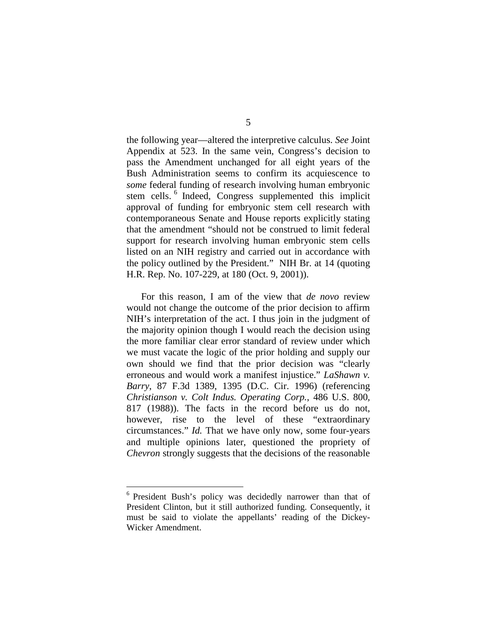the following year—altered the interpretive calculus. *See* Joint Appendix at 523. In the same vein, Congress's decision to pass the Amendment unchanged for all eight years of the Bush Administration seems to confirm its acquiescence to *some* federal funding of research involving human embryonic stem cells. <sup>[6](#page-23-0)</sup> Indeed, Congress supplemented this implicit approval of funding for embryonic stem cell research with contemporaneous Senate and House reports explicitly stating that the amendment "should not be construed to limit federal support for research involving human embryonic stem cells listed on an NIH registry and carried out in accordance with the policy outlined by the President." NIH Br. at 14 (quoting H.R. Rep. No. 107-229, at 180 (Oct. 9, 2001)).

For this reason, I am of the view that *de novo* review would not change the outcome of the prior decision to affirm NIH's interpretation of the act. I thus join in the judgment of the majority opinion though I would reach the decision using the more familiar clear error standard of review under which we must vacate the logic of the prior holding and supply our own should we find that the prior decision was "clearly erroneous and would work a manifest injustice." *LaShawn v. Barry*, 87 F.3d 1389, 1395 (D.C. Cir. 1996) (referencing *Christianson v. Colt Indus. Operating Corp.*, 486 U.S. 800*,*  817 (1988)). The facts in the record before us do not, however, rise to the level of these "extraordinary" circumstances." *Id.* That we have only now, some four-years and multiple opinions later, questioned the propriety of *Chevron* strongly suggests that the decisions of the reasonable

<span id="page-23-0"></span><sup>&</sup>lt;sup>6</sup> President Bush's policy was decidedly narrower than that of President Clinton, but it still authorized funding. Consequently, it must be said to violate the appellants' reading of the Dickey-Wicker Amendment.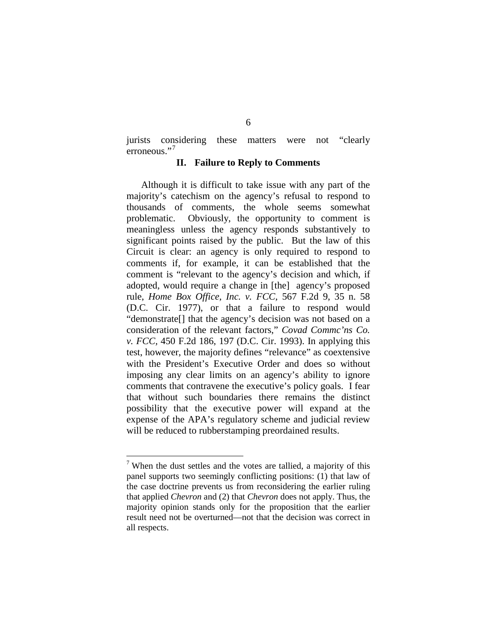jurists considering these matters were not "clearly erroneous."<sup>[7](#page-24-0)</sup>

# **II. Failure to Reply to Comments**

Although it is difficult to take issue with any part of the majority's catechism on the agency's refusal to respond to thousands of comments, the whole seems somewhat problematic. Obviously, the opportunity to comment is meaningless unless the agency responds substantively to significant points raised by the public. But the law of this Circuit is clear: an agency is only required to respond to comments if, for example, it can be established that the comment is "relevant to the agency's decision and which, if adopted, would require a change in [the] agency's proposed rule, *Home Box Office, Inc. v. FCC,* 567 F.2d 9, 35 n. 58 (D.C. Cir. 1977), or that a failure to respond would "demonstrate[] that the agency's decision was not based on a consideration of the relevant factors," *Covad Commc'ns Co. v. FCC,* 450 F.2d 186, 197 (D.C. Cir. 1993). In applying this test, however, the majority defines "relevance" as coextensive with the President's Executive Order and does so without imposing any clear limits on an agency's ability to ignore comments that contravene the executive's policy goals. I fear that without such boundaries there remains the distinct possibility that the executive power will expand at the expense of the APA's regulatory scheme and judicial review will be reduced to rubberstamping preordained results.

<span id="page-24-0"></span> $7$  When the dust settles and the votes are tallied, a majority of this panel supports two seemingly conflicting positions: (1) that law of the case doctrine prevents us from reconsidering the earlier ruling that applied *Chevron* and (2) that *Chevron* does not apply. Thus, the majority opinion stands only for the proposition that the earlier result need not be overturned—not that the decision was correct in all respects.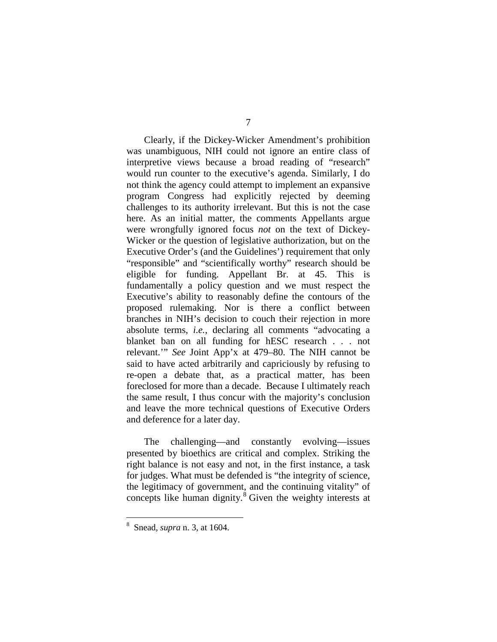Clearly, if the Dickey-Wicker Amendment's prohibition was unambiguous, NIH could not ignore an entire class of interpretive views because a broad reading of "research" would run counter to the executive's agenda. Similarly, I do not think the agency could attempt to implement an expansive program Congress had explicitly rejected by deeming challenges to its authority irrelevant. But this is not the case here. As an initial matter, the comments Appellants argue were wrongfully ignored focus *not* on the text of Dickey-Wicker or the question of legislative authorization, but on the Executive Order's (and the Guidelines') requirement that only "responsible" and "scientifically worthy" research should be eligible for funding. Appellant Br. at 45. This is fundamentally a policy question and we must respect the Executive's ability to reasonably define the contours of the proposed rulemaking. Nor is there a conflict between branches in NIH's decision to couch their rejection in more absolute terms, *i.e.*, declaring all comments "advocating a blanket ban on all funding for hESC research . . . not relevant.'" *See* Joint App'x at 479–80. The NIH cannot be said to have acted arbitrarily and capriciously by refusing to re-open a debate that, as a practical matter, has been foreclosed for more than a decade. Because I ultimately reach the same result, I thus concur with the majority's conclusion and leave the more technical questions of Executive Orders and deference for a later day.

The challenging—and constantly evolving—issues presented by bioethics are critical and complex. Striking the right balance is not easy and not, in the first instance, a task for judges. What must be defended is "the integrity of science, the legitimacy of government, and the continuing vitality" of concepts like human dignity. $8$  Given the weighty interests at

<span id="page-25-0"></span> <sup>8</sup> Snead, *supra* n. 3, at 1604.